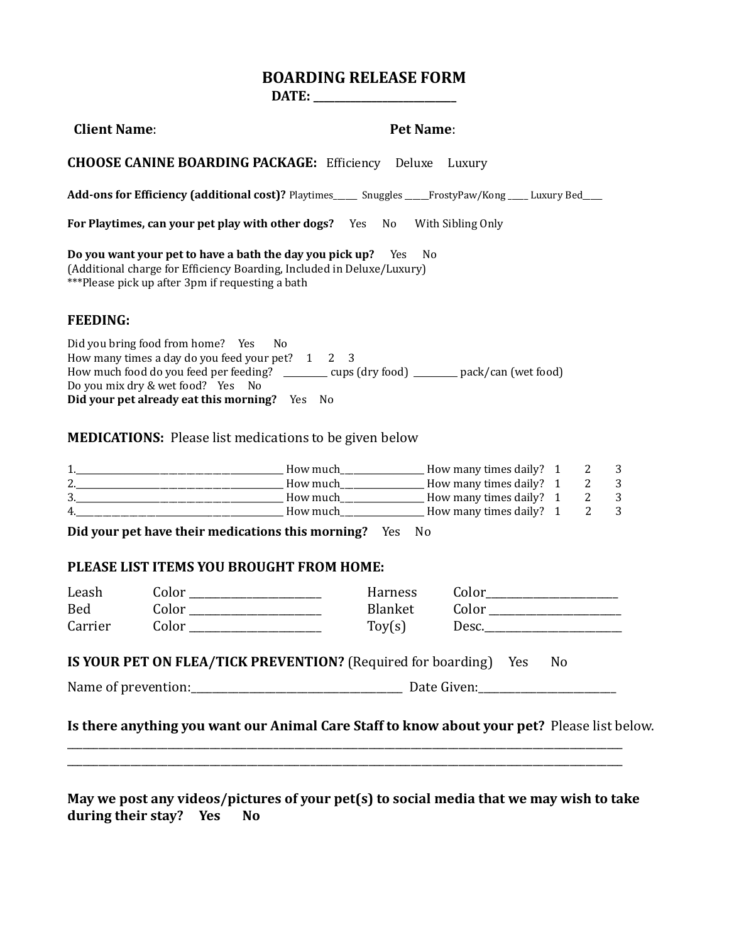# **BOARDING RELEASE FORM**

**DATE: \_\_\_\_\_\_\_\_\_\_\_\_\_\_\_\_\_\_\_\_\_\_\_\_\_\_\_**

| <b>Client Name:</b>   |                                                                                                                            |                                                                                                                                               | <b>Pet Name:</b> |       |    |                |                     |  |
|-----------------------|----------------------------------------------------------------------------------------------------------------------------|-----------------------------------------------------------------------------------------------------------------------------------------------|------------------|-------|----|----------------|---------------------|--|
|                       |                                                                                                                            | <b>CHOOSE CANINE BOARDING PACKAGE:</b> Efficiency Deluxe Luxury                                                                               |                  |       |    |                |                     |  |
|                       |                                                                                                                            | Add-ons for Efficiency (additional cost)? Playtimes_____ Snuggles ____FrostyPaw/Kong ___ Luxury Bed____                                       |                  |       |    |                |                     |  |
|                       |                                                                                                                            | For Playtimes, can your pet play with other dogs? Yes No With Sibling Only                                                                    |                  |       |    |                |                     |  |
|                       | ***Please pick up after 3pm if requesting a bath                                                                           | Do you want your pet to have a bath the day you pick up? Yes No<br>(Additional charge for Efficiency Boarding, Included in Deluxe/Luxury)     |                  |       |    |                |                     |  |
| <b>FEEDING:</b>       |                                                                                                                            |                                                                                                                                               |                  |       |    |                |                     |  |
|                       | Did you bring food from home? Yes No<br>Do you mix dry & wet food? Yes No<br>Did your pet already eat this morning? Yes No | How many times a day do you feed your pet? 1 2 3<br>How much food do you feed per feeding? _______ cups (dry food) ______ pack/can (wet food) |                  |       |    |                |                     |  |
|                       |                                                                                                                            |                                                                                                                                               |                  |       |    |                |                     |  |
|                       |                                                                                                                            | <b>MEDICATIONS:</b> Please list medications to be given below                                                                                 |                  |       |    |                |                     |  |
|                       |                                                                                                                            |                                                                                                                                               |                  |       |    |                | 3<br>$\overline{3}$ |  |
|                       |                                                                                                                            |                                                                                                                                               |                  |       |    |                | $\overline{3}$      |  |
|                       |                                                                                                                            | 4. A Report of the How much Latter How many times daily? 1                                                                                    |                  |       |    | $\overline{2}$ | $\overline{3}$      |  |
|                       |                                                                                                                            | Did your pet have their medications this morning? Yes No<br>PLEASE LIST ITEMS YOU BROUGHT FROM HOME:                                          |                  |       |    |                |                     |  |
| Leash                 |                                                                                                                            | $Color \_\_\_\_\_\_\_\_$                                                                                                                      | Harness          |       |    |                |                     |  |
|                       |                                                                                                                            | $Color \_\_\_\_\_\_\_\_$                                                                                                                      | Blanket          |       |    |                |                     |  |
| <b>Bed</b><br>Carrier |                                                                                                                            |                                                                                                                                               | $\text{Toy}(s)$  | Desc. |    |                |                     |  |
|                       |                                                                                                                            | IS YOUR PET ON FLEA/TICK PREVENTION? (Required for boarding) Yes                                                                              |                  |       | No |                |                     |  |
|                       |                                                                                                                            |                                                                                                                                               |                  |       |    |                |                     |  |
|                       |                                                                                                                            |                                                                                                                                               |                  |       |    |                |                     |  |

**May we post any videos/pictures of your pet(s) to social media that we may wish to take during their stay? Yes No** 

\_\_\_\_\_\_\_\_\_\_\_\_\_\_\_\_\_\_\_\_\_\_\_\_\_\_\_\_\_\_\_\_\_\_\_\_\_\_\_\_\_\_\_\_\_\_\_\_\_\_\_\_\_\_\_\_\_\_\_\_\_\_\_\_\_\_\_\_\_\_\_\_\_\_\_\_\_\_\_\_\_\_\_\_\_\_\_\_\_\_\_\_\_\_\_\_\_\_\_\_\_\_\_\_\_